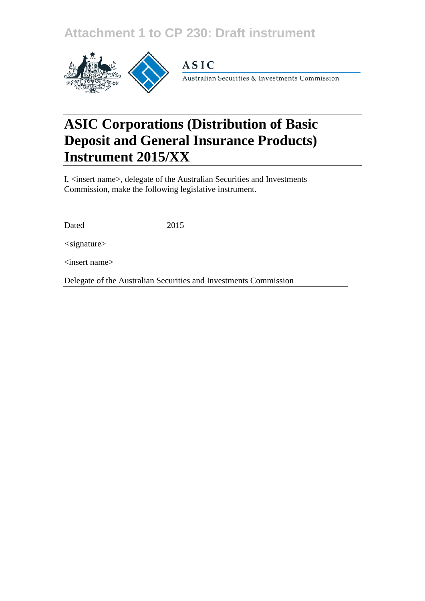## **Attachment 1 to CP 230: Draft instrument**



### **ASIC**

Australian Securities & Investments Commission

# **ASIC Corporations (Distribution of Basic Deposit and General Insurance Products) Instrument 2015/XX**

I, <insert name>, delegate of the Australian Securities and Investments Commission, make the following legislative instrument.

| Dated | 2015 |
|-------|------|
|       |      |

*<*signature>

<insert name>

Delegate of the Australian Securities and Investments Commission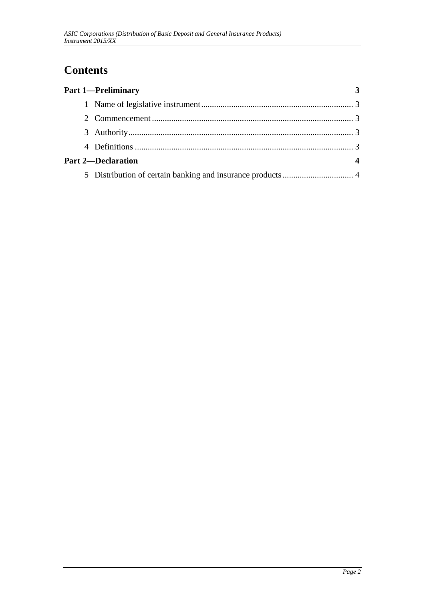### **Contents**

| <b>Part 1-Preliminary</b> |  |
|---------------------------|--|
|                           |  |
|                           |  |
|                           |  |
|                           |  |
| <b>Part 2-Declaration</b> |  |
|                           |  |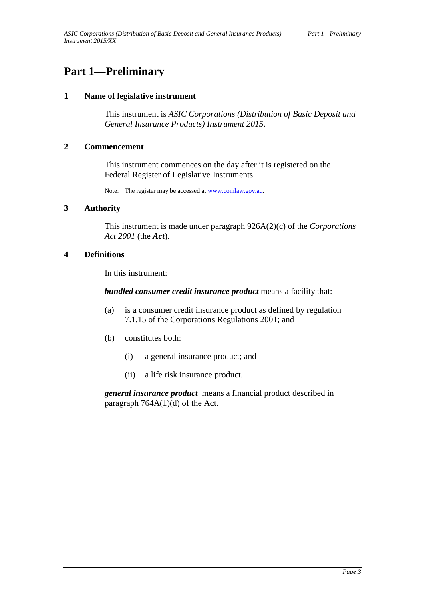### **Part 1—Preliminary**

#### **1 Name of legislative instrument**

This instrument is *ASIC Corporations (Distribution of Basic Deposit and General Insurance Products) Instrument 2015*.

#### **2 Commencement**

This instrument commences on the day after it is registered on the Federal Register of Legislative Instruments.

Note: The register may be accessed a[t www.comlaw.gov.au.](http://www.comlaw.gov.au/)

#### **3 Authority**

This instrument is made under paragraph 926A(2)(c) of the *Corporations Act 2001* (the *Act*).

#### **4 Definitions**

In this instrument:

*bundled consumer credit insurance product* means a facility that:

- (a) is a consumer credit insurance product as defined by regulation 7.1.15 of the Corporations Regulations 2001; and
- (b) constitutes both:
	- (i) a general insurance product; and
	- (ii) a life risk insurance product.

*general insurance product* means a financial product described in paragraph  $764A(1)(d)$  of the Act.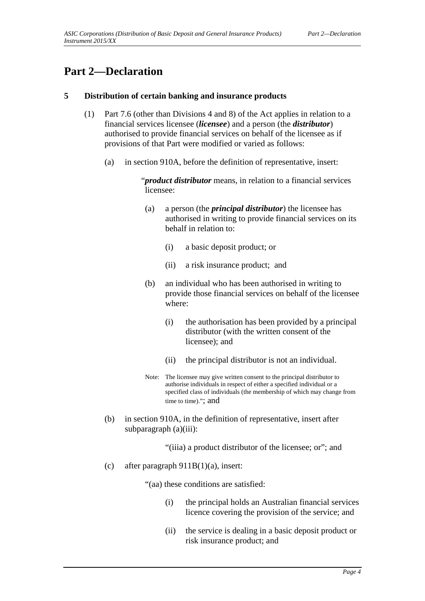### **Part 2—Declaration**

#### **5 Distribution of certain banking and insurance products**

- (1) Part 7.6 (other than Divisions 4 and 8) of the Act applies in relation to a financial services licensee (*licensee*) and a person (the *distributor*) authorised to provide financial services on behalf of the licensee as if provisions of that Part were modified or varied as follows:
	- (a) in section 910A, before the definition of representative, insert:

"*product distributor* means, in relation to a financial services licensee:

- (a) a person (the *principal distributor*) the licensee has authorised in writing to provide financial services on its behalf in relation to:
	- (i) a basic deposit product; or
	- (ii) a risk insurance product; and
- (b) an individual who has been authorised in writing to provide those financial services on behalf of the licensee where:
	- (i) the authorisation has been provided by a principal distributor (with the written consent of the licensee); and
	- (ii) the principal distributor is not an individual.
- Note: The licensee may give written consent to the principal distributor to authorise individuals in respect of either a specified individual or a specified class of individuals (the membership of which may change from time to time)."; and
- (b) in section 910A, in the definition of representative, insert after subparagraph (a)(iii):
	- "(iiia) a product distributor of the licensee; or"; and
- (c) after paragraph  $911B(1)(a)$ , insert:

"(aa) these conditions are satisfied:

- (i) the principal holds an Australian financial services licence covering the provision of the service; and
- (ii) the service is dealing in a basic deposit product or risk insurance product; and